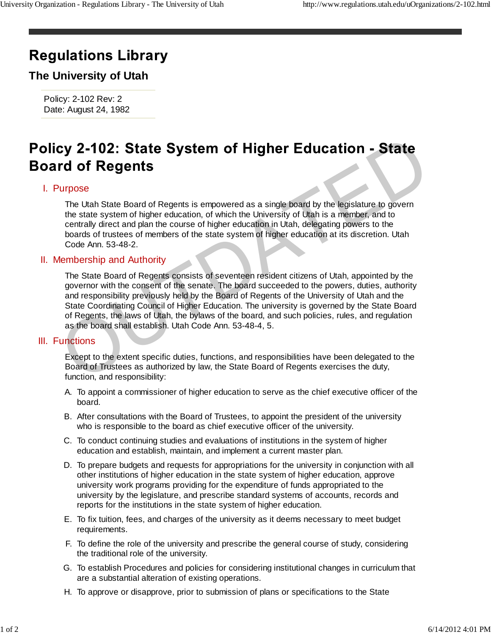# **Regulations Library**

## **The University of Utah**

Policy: 2-102 Rev: 2 Date: August 24, 1982

### I. Purpose

The Utah State Board of Regents is empowered as a single board by the legislature to govern the state system of higher education, of which the University of Utah is a member, and to centrally direct and plan the course of higher education in Utah, delegating powers to the boards of trustees of members of the state system of higher education at its discretion. Utah Code Ann. 53-48-2.

#### II. Membership and Authority

The State Board of Regents consists of seventeen resident citizens of Utah, appointed by the governor with the consent of the senate. The board succeeded to the powers, duties, authority and responsibility previously held by the Board of Regents of the University of Utah and the State Coordinating Council of Higher Education. The university is governed by the State Board of Regents, the laws of Utah, the bylaws of the board, and such policies, rules, and regulation as the board shall establish. Utah Code Ann. 53-48-4, 5. Cy 2-102: State System of Higher Education - State<br>
rd of Regents<br>
Transitions<br>
Transitions State Board of Regents is empowered as a single board by the legislature to govern<br>
The state system of higher education, of which

#### III. Functions

Except to the extent specific duties, functions, and responsibilities have been delegated to the Board of Trustees as authorized by law, the State Board of Regents exercises the duty, function, and responsibility:

- A. To appoint a commissioner of higher education to serve as the chief executive officer of the board.
- B. After consultations with the Board of Trustees, to appoint the president of the university who is responsible to the board as chief executive officer of the university.
- C. To conduct continuing studies and evaluations of institutions in the system of higher education and establish, maintain, and implement a current master plan.
- D. To prepare budgets and requests for appropriations for the university in conjunction with all other institutions of higher education in the state system of higher education, approve university work programs providing for the expenditure of funds appropriated to the university by the legislature, and prescribe standard systems of accounts, records and reports for the institutions in the state system of higher education.
- E. To fix tuition, fees, and charges of the university as it deems necessary to meet budget requirements.
- F. To define the role of the university and prescribe the general course of study, considering the traditional role of the university.
- G. To establish Procedures and policies for considering institutional changes in curriculum that are a substantial alteration of existing operations.
- H. To approve or disapprove, prior to submission of plans or specifications to the State